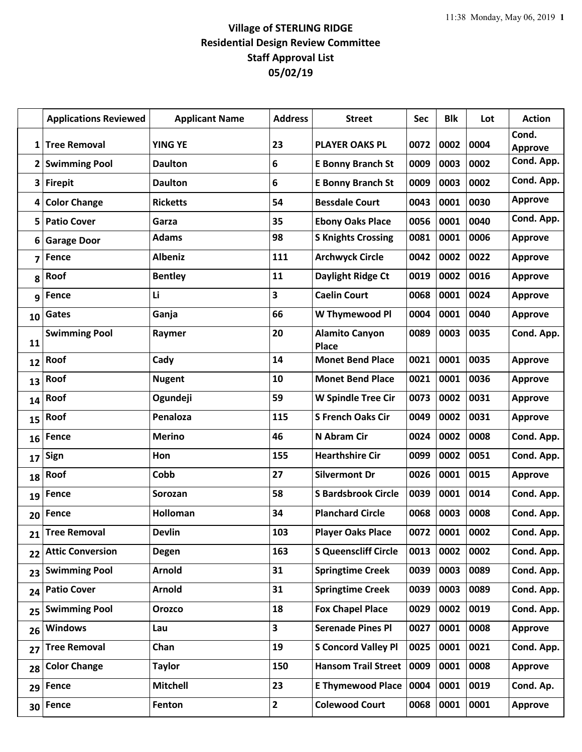## **Village of STERLING RIDGE Residential Design Review Committee Staff Approval List 05/02/19**

|                         | <b>Applications Reviewed</b> | <b>Applicant Name</b> | <b>Address</b>          | <b>Street</b>                         | Sec  | <b>Blk</b> | Lot  | <b>Action</b>           |
|-------------------------|------------------------------|-----------------------|-------------------------|---------------------------------------|------|------------|------|-------------------------|
| 1                       | <b>Tree Removal</b>          | <b>YING YE</b>        | 23                      | <b>PLAYER OAKS PL</b>                 | 0072 | 0002       | 0004 | Cond.<br><b>Approve</b> |
| $\mathbf{2}$            | <b>Swimming Pool</b>         | <b>Daulton</b>        | 6                       | <b>E Bonny Branch St</b>              | 0009 | 0003       | 0002 | Cond. App.              |
| 3                       | <b>Firepit</b>               | <b>Daulton</b>        | 6                       | <b>E Bonny Branch St</b>              | 0009 | 0003       | 0002 | Cond. App.              |
| 4                       | <b>Color Change</b>          | <b>Ricketts</b>       | 54                      | <b>Bessdale Court</b>                 | 0043 | 0001       | 0030 | <b>Approve</b>          |
| 5                       | <b>Patio Cover</b>           | Garza                 | 35                      | <b>Ebony Oaks Place</b>               | 0056 | 0001       | 0040 | Cond. App.              |
| 6                       | <b>Garage Door</b>           | <b>Adams</b>          | 98                      | <b>S Knights Crossing</b>             | 0081 | 0001       | 0006 | <b>Approve</b>          |
| $\overline{\mathbf{z}}$ | <b>Fence</b>                 | <b>Albeniz</b>        | 111                     | <b>Archwyck Circle</b>                | 0042 | 0002       | 0022 | <b>Approve</b>          |
| 8                       | Roof                         | <b>Bentley</b>        | 11                      | Daylight Ridge Ct                     | 0019 | 0002       | 0016 | <b>Approve</b>          |
| 9                       | <b>Fence</b>                 | Li                    | $\overline{\mathbf{3}}$ | <b>Caelin Court</b>                   | 0068 | 0001       | 0024 | <b>Approve</b>          |
| 10                      | Gates                        | Ganja                 | 66                      | W Thymewood Pl                        | 0004 | 0001       | 0040 | <b>Approve</b>          |
| 11                      | <b>Swimming Pool</b>         | Raymer                | 20                      | <b>Alamito Canyon</b><br><b>Place</b> | 0089 | 0003       | 0035 | Cond. App.              |
| 12                      | Roof                         | Cady                  | 14                      | <b>Monet Bend Place</b>               | 0021 | 0001       | 0035 | <b>Approve</b>          |
| 13                      | Roof                         | <b>Nugent</b>         | 10                      | <b>Monet Bend Place</b>               | 0021 | 0001       | 0036 | <b>Approve</b>          |
| 14                      | Roof                         | Ogundeji              | 59                      | <b>W Spindle Tree Cir</b>             | 0073 | 0002       | 0031 | <b>Approve</b>          |
| 15                      | Roof                         | Penaloza              | 115                     | <b>S French Oaks Cir</b>              | 0049 | 0002       | 0031 | <b>Approve</b>          |
| 16                      | <b>Fence</b>                 | <b>Merino</b>         | 46                      | N Abram Cir                           | 0024 | 0002       | 0008 | Cond. App.              |
| 17                      | Sign                         | Hon                   | 155                     | <b>Hearthshire Cir</b>                | 0099 | 0002       | 0051 | Cond. App.              |
| 18                      | Roof                         | Cobb                  | 27                      | <b>Silvermont Dr</b>                  | 0026 | 0001       | 0015 | Approve                 |
| 19                      | <b>Fence</b>                 | Sorozan               | 58                      | <b>S Bardsbrook Circle</b>            | 0039 | 0001       | 0014 | Cond. App.              |
| 20                      | <b>Fence</b>                 | <b>Holloman</b>       | 34                      | <b>Planchard Circle</b>               | 0068 | 0003       | 0008 | Cond. App.              |
| 21                      | <b>Tree Removal</b>          | <b>Devlin</b>         | 103                     | <b>Player Oaks Place</b>              | 0072 | 0001       | 0002 | Cond. App.              |
| 22                      | <b>Attic Conversion</b>      | <b>Degen</b>          | 163                     | <b>S Queenscliff Circle</b>           | 0013 | 0002       | 0002 | Cond. App.              |
| 23                      | <b>Swimming Pool</b>         | <b>Arnold</b>         | 31                      | <b>Springtime Creek</b>               | 0039 | 0003       | 0089 | Cond. App.              |
| 24                      | <b>Patio Cover</b>           | <b>Arnold</b>         | 31                      | <b>Springtime Creek</b>               | 0039 | 0003       | 0089 | Cond. App.              |
| 25                      | <b>Swimming Pool</b>         | <b>Orozco</b>         | 18                      | <b>Fox Chapel Place</b>               | 0029 | 0002       | 0019 | Cond. App.              |
| 26                      | <b>Windows</b>               | Lau                   | 3                       | <b>Serenade Pines Pl</b>              | 0027 | 0001       | 0008 | <b>Approve</b>          |
| 27                      | <b>Tree Removal</b>          | Chan                  | 19                      | <b>S Concord Valley Pl</b>            | 0025 | 0001       | 0021 | Cond. App.              |
| 28                      | <b>Color Change</b>          | <b>Taylor</b>         | 150                     | <b>Hansom Trail Street</b>            | 0009 | 0001       | 0008 | <b>Approve</b>          |
| 29                      | <b>Fence</b>                 | <b>Mitchell</b>       | 23                      | <b>E Thymewood Place</b>              | 0004 | 0001       | 0019 | Cond. Ap.               |
| 30                      | Fence                        | Fenton                | $\overline{2}$          | <b>Colewood Court</b>                 | 0068 | 0001       | 0001 | <b>Approve</b>          |